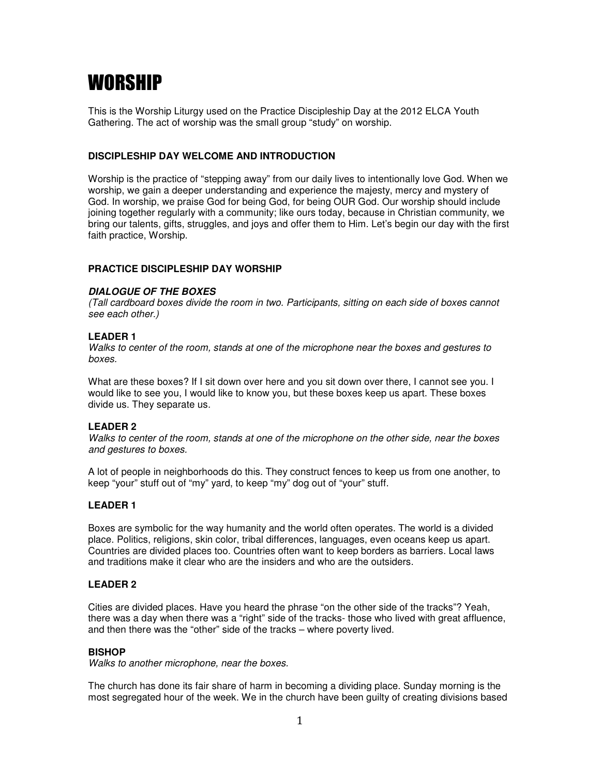# WORSHIP

This is the Worship Liturgy used on the Practice Discipleship Day at the 2012 ELCA Youth Gathering. The act of worship was the small group "study" on worship.

# **DISCIPLESHIP DAY WELCOME AND INTRODUCTION**

Worship is the practice of "stepping away" from our daily lives to intentionally love God. When we worship, we gain a deeper understanding and experience the majesty, mercy and mystery of God. In worship, we praise God for being God, for being OUR God. Our worship should include joining together regularly with a community; like ours today, because in Christian community, we bring our talents, gifts, struggles, and joys and offer them to Him. Let's begin our day with the first faith practice, Worship.

# **PRACTICE DISCIPLESHIP DAY WORSHIP**

# **DIALOGUE OF THE BOXES**

(Tall cardboard boxes divide the room in two. Participants, sitting on each side of boxes cannot see each other.)

# **LEADER 1**

Walks to center of the room, stands at one of the microphone near the boxes and gestures to boxes.

What are these boxes? If I sit down over here and you sit down over there, I cannot see you. I would like to see you, I would like to know you, but these boxes keep us apart. These boxes divide us. They separate us.

# **LEADER 2**

Walks to center of the room, stands at one of the microphone on the other side, near the boxes and gestures to boxes.

A lot of people in neighborhoods do this. They construct fences to keep us from one another, to keep "your" stuff out of "my" yard, to keep "my" dog out of "your" stuff.

# **LEADER 1**

Boxes are symbolic for the way humanity and the world often operates. The world is a divided place. Politics, religions, skin color, tribal differences, languages, even oceans keep us apart. Countries are divided places too. Countries often want to keep borders as barriers. Local laws and traditions make it clear who are the insiders and who are the outsiders.

# **LEADER 2**

Cities are divided places. Have you heard the phrase "on the other side of the tracks"? Yeah, there was a day when there was a "right" side of the tracks- those who lived with great affluence, and then there was the "other" side of the tracks – where poverty lived.

# **BISHOP**

Walks to another microphone, near the boxes.

The church has done its fair share of harm in becoming a dividing place. Sunday morning is the most segregated hour of the week. We in the church have been guilty of creating divisions based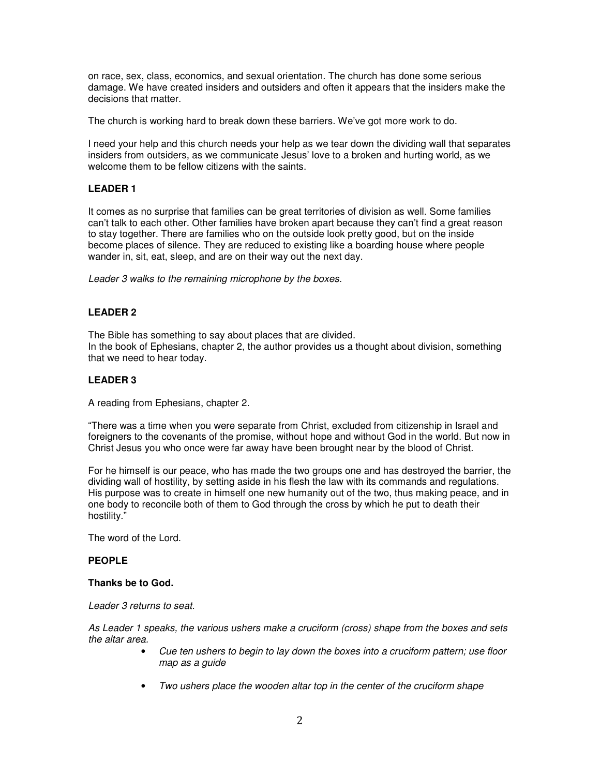on race, sex, class, economics, and sexual orientation. The church has done some serious damage. We have created insiders and outsiders and often it appears that the insiders make the decisions that matter.

The church is working hard to break down these barriers. We've got more work to do.

I need your help and this church needs your help as we tear down the dividing wall that separates insiders from outsiders, as we communicate Jesus' love to a broken and hurting world, as we welcome them to be fellow citizens with the saints.

# **LEADER 1**

It comes as no surprise that families can be great territories of division as well. Some families can't talk to each other. Other families have broken apart because they can't find a great reason to stay together. There are families who on the outside look pretty good, but on the inside become places of silence. They are reduced to existing like a boarding house where people wander in, sit, eat, sleep, and are on their way out the next day.

Leader 3 walks to the remaining microphone by the boxes.

# **LEADER 2**

The Bible has something to say about places that are divided. In the book of Ephesians, chapter 2, the author provides us a thought about division, something that we need to hear today.

## **LEADER 3**

A reading from Ephesians, chapter 2.

"There was a time when you were separate from Christ, excluded from citizenship in Israel and foreigners to the covenants of the promise, without hope and without God in the world. But now in Christ Jesus you who once were far away have been brought near by the blood of Christ.

For he himself is our peace, who has made the two groups one and has destroyed the barrier, the dividing wall of hostility, by setting aside in his flesh the law with its commands and regulations. His purpose was to create in himself one new humanity out of the two, thus making peace, and in one body to reconcile both of them to God through the cross by which he put to death their hostility."

The word of the Lord.

## **PEOPLE**

## **Thanks be to God.**

Leader 3 returns to seat.

As Leader 1 speaks, the various ushers make a cruciform (cross) shape from the boxes and sets the altar area.

- Cue ten ushers to begin to lay down the boxes into a cruciform pattern; use floor map as a guide
- Two ushers place the wooden altar top in the center of the cruciform shape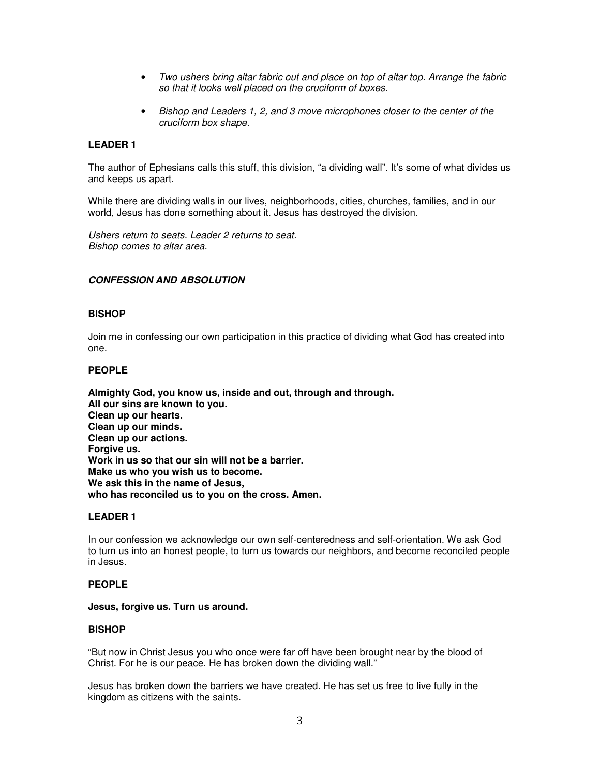- Two ushers bring altar fabric out and place on top of altar top. Arrange the fabric so that it looks well placed on the cruciform of boxes.
- Bishop and Leaders 1, 2, and 3 move microphones closer to the center of the cruciform box shape.

## **LEADER 1**

The author of Ephesians calls this stuff, this division, "a dividing wall". It's some of what divides us and keeps us apart.

While there are dividing walls in our lives, neighborhoods, cities, churches, families, and in our world, Jesus has done something about it. Jesus has destroyed the division.

Ushers return to seats. Leader 2 returns to seat. Bishop comes to altar area.

## **CONFESSION AND ABSOLUTION**

## **BISHOP**

Join me in confessing our own participation in this practice of dividing what God has created into one.

#### **PEOPLE**

**Almighty God, you know us, inside and out, through and through. All our sins are known to you. Clean up our hearts. Clean up our minds. Clean up our actions. Forgive us. Work in us so that our sin will not be a barrier. Make us who you wish us to become. We ask this in the name of Jesus, who has reconciled us to you on the cross. Amen.** 

## **LEADER 1**

In our confession we acknowledge our own self-centeredness and self-orientation. We ask God to turn us into an honest people, to turn us towards our neighbors, and become reconciled people in Jesus.

## **PEOPLE**

#### **Jesus, forgive us. Turn us around.**

## **BISHOP**

"But now in Christ Jesus you who once were far off have been brought near by the blood of Christ. For he is our peace. He has broken down the dividing wall."

Jesus has broken down the barriers we have created. He has set us free to live fully in the kingdom as citizens with the saints.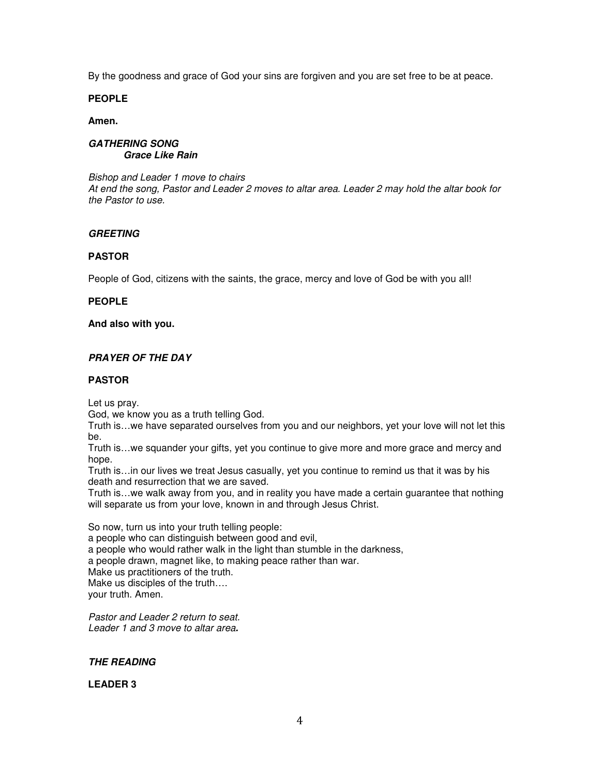By the goodness and grace of God your sins are forgiven and you are set free to be at peace.

# **PEOPLE**

## **Amen.**

## **GATHERING SONG Grace Like Rain**

Bishop and Leader 1 move to chairs At end the song, Pastor and Leader 2 moves to altar area. Leader 2 may hold the altar book for the Pastor to use.

# **GREETING**

# **PASTOR**

People of God, citizens with the saints, the grace, mercy and love of God be with you all!

# **PEOPLE**

# **And also with you.**

# **PRAYER OF THE DAY**

# **PASTOR**

Let us pray.

God, we know you as a truth telling God.

Truth is…we have separated ourselves from you and our neighbors, yet your love will not let this be.

Truth is…we squander your gifts, yet you continue to give more and more grace and mercy and hope.

Truth is…in our lives we treat Jesus casually, yet you continue to remind us that it was by his death and resurrection that we are saved.

Truth is…we walk away from you, and in reality you have made a certain guarantee that nothing will separate us from your love, known in and through Jesus Christ.

So now, turn us into your truth telling people:

a people who can distinguish between good and evil,

a people who would rather walk in the light than stumble in the darkness,

a people drawn, magnet like, to making peace rather than war.

Make us practitioners of the truth.

Make us disciples of the truth….

your truth. Amen.

Pastor and Leader 2 return to seat. Leader 1 and 3 move to altar area**.** 

# **THE READING**

# **LEADER 3**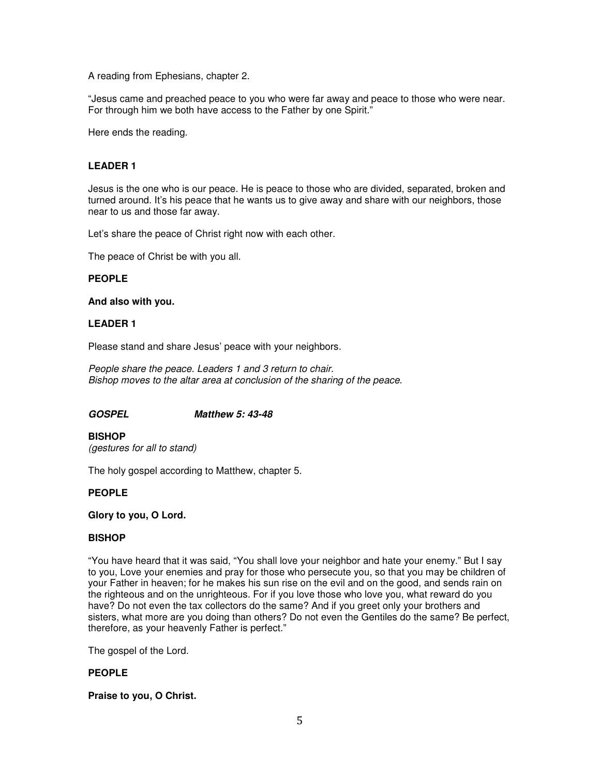A reading from Ephesians, chapter 2.

"Jesus came and preached peace to you who were far away and peace to those who were near. For through him we both have access to the Father by one Spirit."

Here ends the reading.

## **LEADER 1**

Jesus is the one who is our peace. He is peace to those who are divided, separated, broken and turned around. It's his peace that he wants us to give away and share with our neighbors, those near to us and those far away.

Let's share the peace of Christ right now with each other.

The peace of Christ be with you all.

#### **PEOPLE**

#### **And also with you.**

## **LEADER 1**

Please stand and share Jesus' peace with your neighbors.

People share the peace. Leaders 1 and 3 return to chair. Bishop moves to the altar area at conclusion of the sharing of the peace.

## **GOSPEL Matthew 5: 43-48**

**BISHOP**  (gestures for all to stand)

The holy gospel according to Matthew, chapter 5.

## **PEOPLE**

#### **Glory to you, O Lord.**

## **BISHOP**

"You have heard that it was said, "You shall love your neighbor and hate your enemy." But I say to you, Love your enemies and pray for those who persecute you, so that you may be children of your Father in heaven; for he makes his sun rise on the evil and on the good, and sends rain on the righteous and on the unrighteous. For if you love those who love you, what reward do you have? Do not even the tax collectors do the same? And if you greet only your brothers and sisters, what more are you doing than others? Do not even the Gentiles do the same? Be perfect, therefore, as your heavenly Father is perfect."

The gospel of the Lord.

## **PEOPLE**

**Praise to you, O Christ.**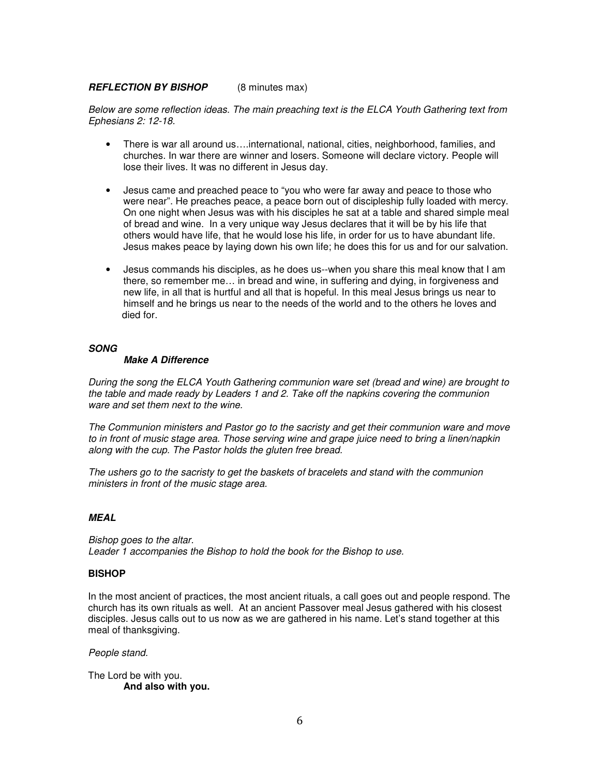## **REFLECTION BY BISHOP** (8 minutes max)

Below are some reflection ideas. The main preaching text is the ELCA Youth Gathering text from Ephesians 2: 12-18.

- There is war all around us….international, national, cities, neighborhood, families, and churches. In war there are winner and losers. Someone will declare victory. People will lose their lives. It was no different in Jesus day.
- Jesus came and preached peace to "you who were far away and peace to those who were near". He preaches peace, a peace born out of discipleship fully loaded with mercy. On one night when Jesus was with his disciples he sat at a table and shared simple meal of bread and wine. In a very unique way Jesus declares that it will be by his life that others would have life, that he would lose his life, in order for us to have abundant life. Jesus makes peace by laying down his own life; he does this for us and for our salvation.
- Jesus commands his disciples, as he does us--when you share this meal know that I am there, so remember me… in bread and wine, in suffering and dying, in forgiveness and new life, in all that is hurtful and all that is hopeful. In this meal Jesus brings us near to himself and he brings us near to the needs of the world and to the others he loves and died for.

#### **SONG**

#### **Make A Difference**

During the song the ELCA Youth Gathering communion ware set (bread and wine) are brought to the table and made ready by Leaders 1 and 2. Take off the napkins covering the communion ware and set them next to the wine.

The Communion ministers and Pastor go to the sacristy and get their communion ware and move to in front of music stage area. Those serving wine and grape juice need to bring a linen/napkin along with the cup. The Pastor holds the gluten free bread.

The ushers go to the sacristy to get the baskets of bracelets and stand with the communion ministers in front of the music stage area.

# **MEAL**

Bishop goes to the altar. Leader 1 accompanies the Bishop to hold the book for the Bishop to use.

## **BISHOP**

In the most ancient of practices, the most ancient rituals, a call goes out and people respond. The church has its own rituals as well. At an ancient Passover meal Jesus gathered with his closest disciples. Jesus calls out to us now as we are gathered in his name. Let's stand together at this meal of thanksgiving.

#### People stand.

The Lord be with you. **And also with you.**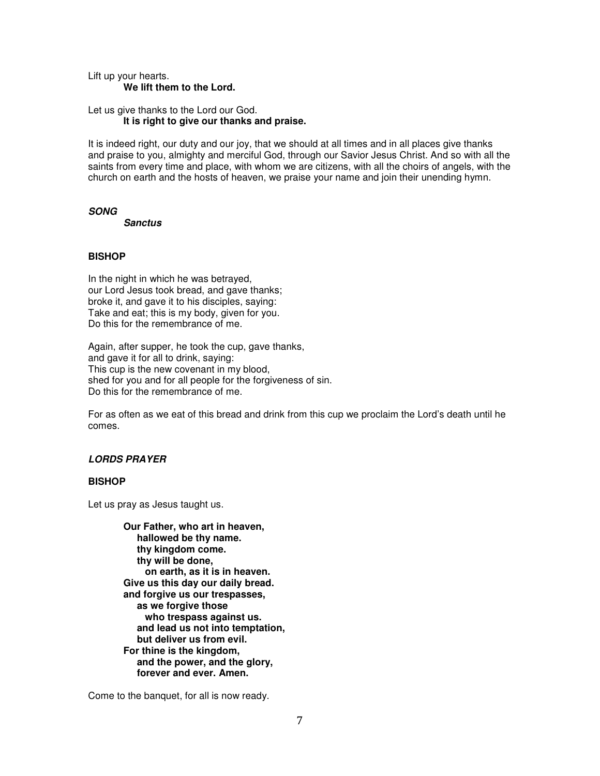Lift up your hearts. **We lift them to the Lord.** 

Let us give thanks to the Lord our God. **It is right to give our thanks and praise.** 

It is indeed right, our duty and our joy, that we should at all times and in all places give thanks and praise to you, almighty and merciful God, through our Savior Jesus Christ. And so with all the saints from every time and place, with whom we are citizens, with all the choirs of angels, with the church on earth and the hosts of heaven, we praise your name and join their unending hymn.

#### **SONG**

 **Sanctus** 

# **BISHOP**

In the night in which he was betrayed, our Lord Jesus took bread, and gave thanks; broke it, and gave it to his disciples, saying: Take and eat; this is my body, given for you. Do this for the remembrance of me.

Again, after supper, he took the cup, gave thanks, and gave it for all to drink, saying: This cup is the new covenant in my blood, shed for you and for all people for the forgiveness of sin. Do this for the remembrance of me.

For as often as we eat of this bread and drink from this cup we proclaim the Lord's death until he comes.

# **LORDS PRAYER**

## **BISHOP**

Let us pray as Jesus taught us.

**Our Father, who art in heaven, hallowed be thy name. thy kingdom come. thy will be done, on earth, as it is in heaven. Give us this day our daily bread. and forgive us our trespasses, as we forgive those who trespass against us. and lead us not into temptation, but deliver us from evil. For thine is the kingdom, and the power, and the glory, forever and ever. Amen.** 

Come to the banquet, for all is now ready.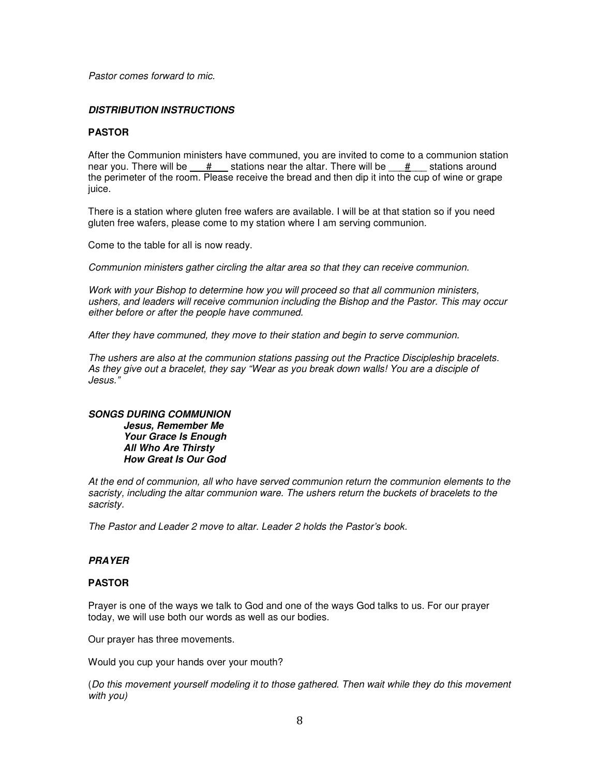Pastor comes forward to mic.

# **DISTRIBUTION INSTRUCTIONS**

## **PASTOR**

After the Communion ministers have communed, you are invited to come to a communion station near you. There will be  $\frac{m}{2}$  stations near the altar. There will be  $\frac{m}{2}$  stations around the perimeter of the room. Please receive the bread and then dip it into the cup of wine or grape juice.

There is a station where gluten free wafers are available. I will be at that station so if you need gluten free wafers, please come to my station where I am serving communion.

Come to the table for all is now ready.

Communion ministers gather circling the altar area so that they can receive communion.

Work with your Bishop to determine how you will proceed so that all communion ministers, ushers, and leaders will receive communion including the Bishop and the Pastor. This may occur either before or after the people have communed.

After they have communed, they move to their station and begin to serve communion.

The ushers are also at the communion stations passing out the Practice Discipleship bracelets. As they give out a bracelet, they say "Wear as you break down walls! You are a disciple of Jesus."

#### **SONGS DURING COMMUNION Jesus, Remember Me Your Grace Is Enough All Who Are Thirsty How Great Is Our God**

At the end of communion, all who have served communion return the communion elements to the sacristy, including the altar communion ware. The ushers return the buckets of bracelets to the sacristy.

The Pastor and Leader 2 move to altar. Leader 2 holds the Pastor's book.

# **PRAYER**

## **PASTOR**

Prayer is one of the ways we talk to God and one of the ways God talks to us. For our prayer today, we will use both our words as well as our bodies.

Our prayer has three movements.

Would you cup your hands over your mouth?

(Do this movement yourself modeling it to those gathered. Then wait while they do this movement with you)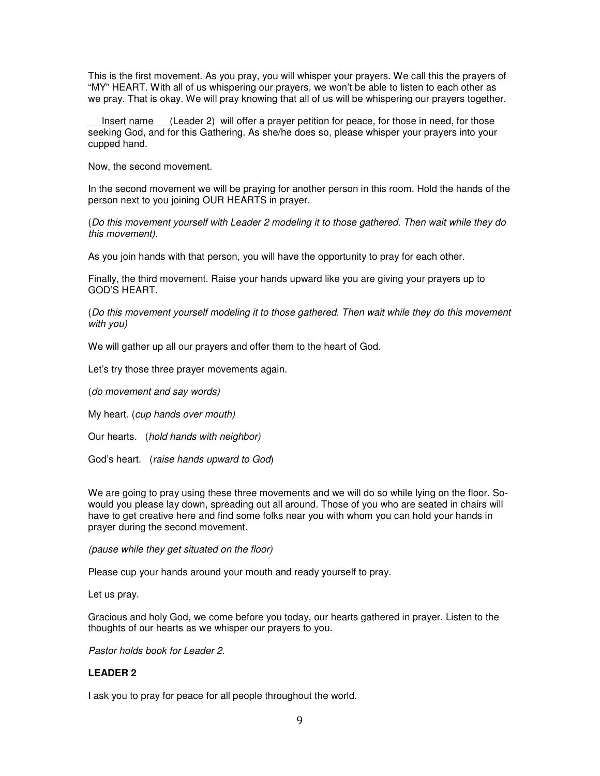This is the first movement. As you pray, you will whisper your prayers. We call this the prayers of "MY" HEART. With all of us whispering our prayers, we won't be able to listen to each other as we pray. That is okay. We will pray knowing that all of us will be whispering our prayers together.

 Insert name (Leader 2) will offer a prayer petition for peace, for those in need, for those seeking God, and for this Gathering. As she/he does so, please whisper your prayers into your cupped hand.

Now, the second movement.

In the second movement we will be praying for another person in this room. Hold the hands of the person next to you joining OUR HEARTS in prayer.

(Do this movement yourself with Leader 2 modeling it to those gathered. Then wait while they do this movement).

As you join hands with that person, you will have the opportunity to pray for each other.

Finally, the third movement. Raise your hands upward like you are giving your prayers up to GOD'S HEART.

(Do this movement yourself modeling it to those gathered. Then wait while they do this movement with you)

We will gather up all our prayers and offer them to the heart of God.

Let's try those three prayer movements again.

(do movement and say words)

My heart. (cup hands over mouth)

Our hearts. (hold hands with neighbor)

God's heart. (raise hands upward to God)

We are going to pray using these three movements and we will do so while lying on the floor. Sowould you please lay down, spreading out all around. Those of you who are seated in chairs will have to get creative here and find some folks near you with whom you can hold your hands in prayer during the second movement.

(pause while they get situated on the floor)

Please cup your hands around your mouth and ready yourself to pray.

Let us pray.

Gracious and holy God, we come before you today, our hearts gathered in prayer. Listen to the thoughts of our hearts as we whisper our prayers to you.

Pastor holds book for Leader 2.

## **LEADER 2**

I ask you to pray for peace for all people throughout the world.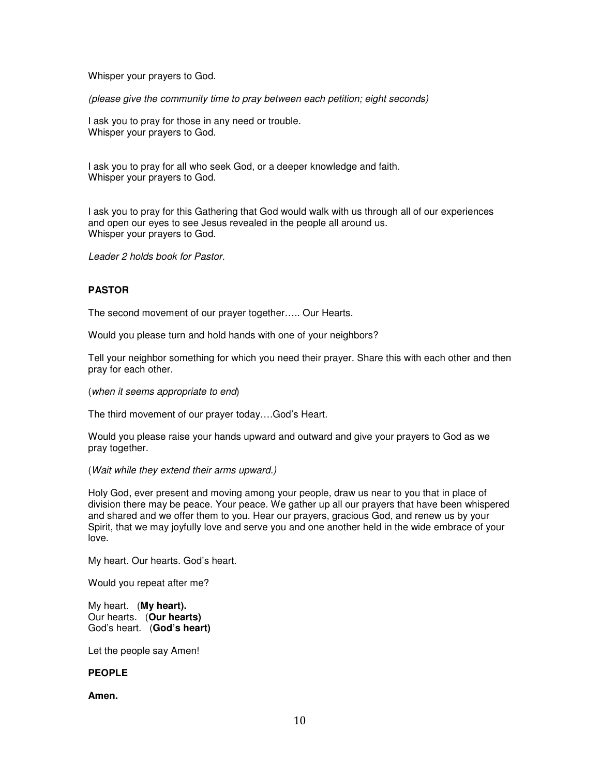Whisper your prayers to God.

(please give the community time to pray between each petition; eight seconds)

I ask you to pray for those in any need or trouble. Whisper your prayers to God.

I ask you to pray for all who seek God, or a deeper knowledge and faith. Whisper your prayers to God.

I ask you to pray for this Gathering that God would walk with us through all of our experiences and open our eyes to see Jesus revealed in the people all around us. Whisper your prayers to God.

Leader 2 holds book for Pastor.

# **PASTOR**

The second movement of our prayer together….. Our Hearts.

Would you please turn and hold hands with one of your neighbors?

Tell your neighbor something for which you need their prayer. Share this with each other and then pray for each other.

(when it seems appropriate to end)

The third movement of our prayer today….God's Heart.

Would you please raise your hands upward and outward and give your prayers to God as we pray together.

#### (Wait while they extend their arms upward.)

Holy God, ever present and moving among your people, draw us near to you that in place of division there may be peace. Your peace. We gather up all our prayers that have been whispered and shared and we offer them to you. Hear our prayers, gracious God, and renew us by your Spirit, that we may joyfully love and serve you and one another held in the wide embrace of your love.

My heart. Our hearts. God's heart.

Would you repeat after me?

My heart. (**My heart).** Our hearts. (**Our hearts)** God's heart. (**God's heart)**

Let the people say Amen!

## **PEOPLE**

**Amen.**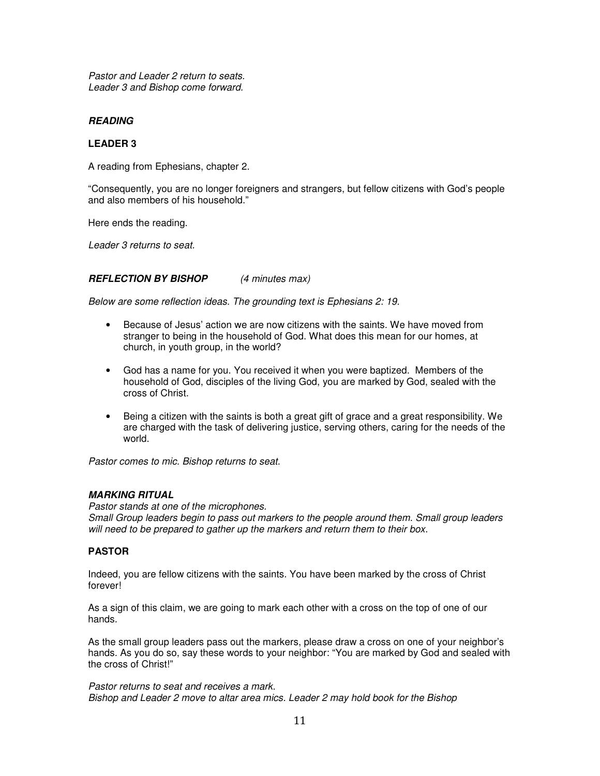Pastor and Leader 2 return to seats. Leader 3 and Bishop come forward.

# **READING**

## **LEADER 3**

A reading from Ephesians, chapter 2.

"Consequently, you are no longer foreigners and strangers, but fellow citizens with God's people and also members of his household."

Here ends the reading.

Leader 3 returns to seat.

## **REFLECTION BY BISHOP** (4 minutes max)

Below are some reflection ideas. The grounding text is Ephesians 2: 19.

- Because of Jesus' action we are now citizens with the saints. We have moved from stranger to being in the household of God. What does this mean for our homes, at church, in youth group, in the world?
- God has a name for you. You received it when you were baptized. Members of the household of God, disciples of the living God, you are marked by God, sealed with the cross of Christ.
- Being a citizen with the saints is both a great gift of grace and a great responsibility. We are charged with the task of delivering justice, serving others, caring for the needs of the world.

Pastor comes to mic. Bishop returns to seat.

## **MARKING RITUAL**

Pastor stands at one of the microphones. Small Group leaders begin to pass out markers to the people around them. Small group leaders will need to be prepared to gather up the markers and return them to their box.

## **PASTOR**

Indeed, you are fellow citizens with the saints. You have been marked by the cross of Christ forever!

As a sign of this claim, we are going to mark each other with a cross on the top of one of our hands.

As the small group leaders pass out the markers, please draw a cross on one of your neighbor's hands. As you do so, say these words to your neighbor: "You are marked by God and sealed with the cross of Christ!"

Pastor returns to seat and receives a mark. Bishop and Leader 2 move to altar area mics. Leader 2 may hold book for the Bishop